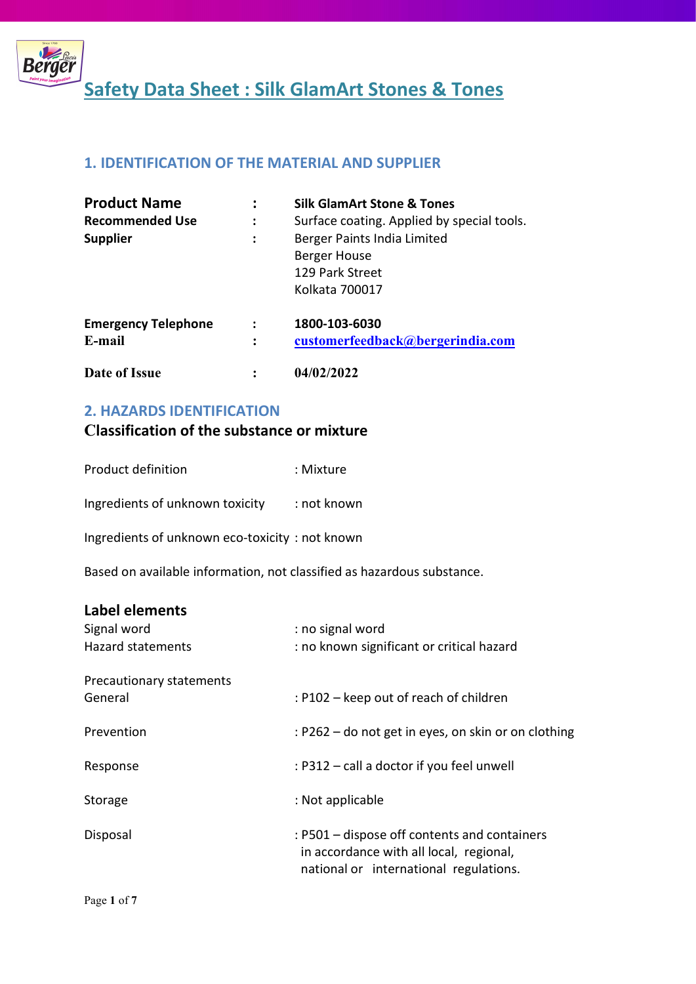

# 1. IDENTIFICATION OF THE MATERIAL AND SUPPLIER

| <b>Product Name</b>        |                | <b>Silk GlamArt Stone &amp; Tones</b>                                            |
|----------------------------|----------------|----------------------------------------------------------------------------------|
| <b>Recommended Use</b>     | ፡              | Surface coating. Applied by special tools.                                       |
| <b>Supplier</b>            | $\ddot{\cdot}$ | Berger Paints India Limited<br>Berger House<br>129 Park Street<br>Kolkata 700017 |
| <b>Emergency Telephone</b> |                | 1800-103-6030                                                                    |
| E-mail                     | $\ddot{\cdot}$ | customerfeedback@bergerindia.com                                                 |
| Date of Issue              |                | 04/02/2022                                                                       |

## 2. HAZARDS IDENTIFICATION

# Classification of the substance or mixture

| Product definition | : Mixture |
|--------------------|-----------|
|                    |           |

Ingredients of unknown toxicity : not known

Ingredients of unknown eco-toxicity : not known

Based on available information, not classified as hazardous substance.

# Label elements

| Signal word<br><b>Hazard statements</b> | : no signal word<br>: no known significant or critical hazard                                                                     |
|-----------------------------------------|-----------------------------------------------------------------------------------------------------------------------------------|
| Precautionary statements<br>General     | : P102 - keep out of reach of children                                                                                            |
| Prevention                              | : P262 – do not get in eyes, on skin or on clothing                                                                               |
| Response                                | : P312 - call a doctor if you feel unwell                                                                                         |
| Storage                                 | : Not applicable                                                                                                                  |
| Disposal                                | : P501 – dispose off contents and containers<br>in accordance with all local, regional,<br>national or international regulations. |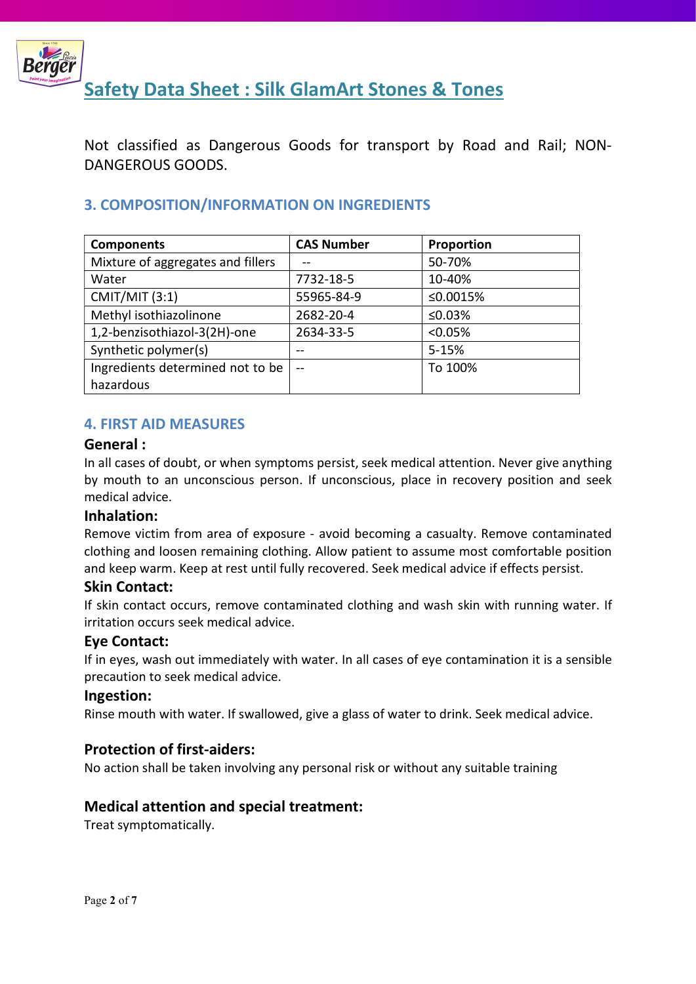

Not classified as Dangerous Goods for transport by Road and Rail; NON-DANGEROUS GOODS.

# 3. COMPOSITION/INFORMATION ON INGREDIENTS

| <b>Components</b>                 | <b>CAS Number</b> | Proportion |
|-----------------------------------|-------------------|------------|
| Mixture of aggregates and fillers |                   | 50-70%     |
| Water                             | 7732-18-5         | 10-40%     |
| <b>CMIT/MIT (3:1)</b>             | 55965-84-9        | ≤0.0015%   |
| Methyl isothiazolinone            | 2682-20-4         | ≤0.03%     |
| 1,2-benzisothiazol-3(2H)-one      | 2634-33-5         | < 0.05%    |
| Synthetic polymer(s)              | --                | 5-15%      |
| Ingredients determined not to be  | $-$               | To 100%    |
| hazardous                         |                   |            |

# 4. FIRST AID MEASURES

#### General :

In all cases of doubt, or when symptoms persist, seek medical attention. Never give anything by mouth to an unconscious person. If unconscious, place in recovery position and seek medical advice.

## Inhalation:

Remove victim from area of exposure - avoid becoming a casualty. Remove contaminated clothing and loosen remaining clothing. Allow patient to assume most comfortable position and keep warm. Keep at rest until fully recovered. Seek medical advice if effects persist.

## Skin Contact:

If skin contact occurs, remove contaminated clothing and wash skin with running water. If irritation occurs seek medical advice.

## Eye Contact:

If in eyes, wash out immediately with water. In all cases of eye contamination it is a sensible precaution to seek medical advice.

#### Ingestion:

Rinse mouth with water. If swallowed, give a glass of water to drink. Seek medical advice.

# Protection of first-aiders:

No action shall be taken involving any personal risk or without any suitable training

## Medical attention and special treatment:

Treat symptomatically.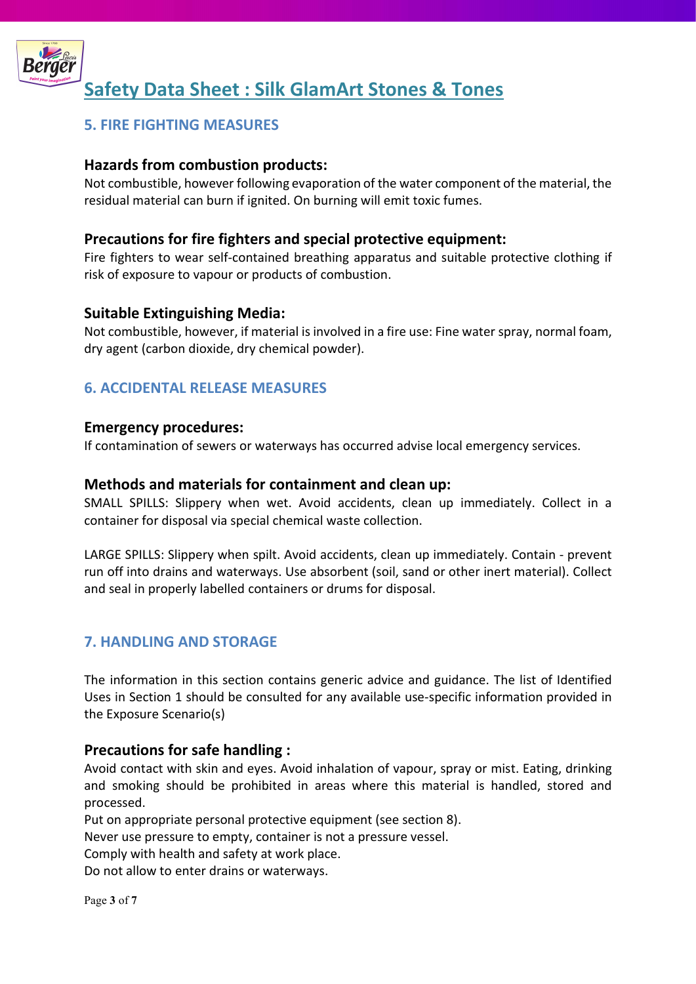

# 5. FIRE FIGHTING MEASURES

# Hazards from combustion products:

Not combustible, however following evaporation of the water component of the material, the residual material can burn if ignited. On burning will emit toxic fumes.

# Precautions for fire fighters and special protective equipment:

Fire fighters to wear self-contained breathing apparatus and suitable protective clothing if risk of exposure to vapour or products of combustion.

## Suitable Extinguishing Media:

Not combustible, however, if material is involved in a fire use: Fine water spray, normal foam, dry agent (carbon dioxide, dry chemical powder).

# 6. ACCIDENTAL RELEASE MEASURES

#### Emergency procedures:

If contamination of sewers or waterways has occurred advise local emergency services.

## Methods and materials for containment and clean up:

SMALL SPILLS: Slippery when wet. Avoid accidents, clean up immediately. Collect in a container for disposal via special chemical waste collection.

LARGE SPILLS: Slippery when spilt. Avoid accidents, clean up immediately. Contain - prevent run off into drains and waterways. Use absorbent (soil, sand or other inert material). Collect and seal in properly labelled containers or drums for disposal.

# 7. HANDLING AND STORAGE

The information in this section contains generic advice and guidance. The list of Identified Uses in Section 1 should be consulted for any available use-specific information provided in the Exposure Scenario(s)

## Precautions for safe handling :

Avoid contact with skin and eyes. Avoid inhalation of vapour, spray or mist. Eating, drinking and smoking should be prohibited in areas where this material is handled, stored and processed.

Put on appropriate personal protective equipment (see section 8).

Never use pressure to empty, container is not a pressure vessel.

Comply with health and safety at work place.

Do not allow to enter drains or waterways.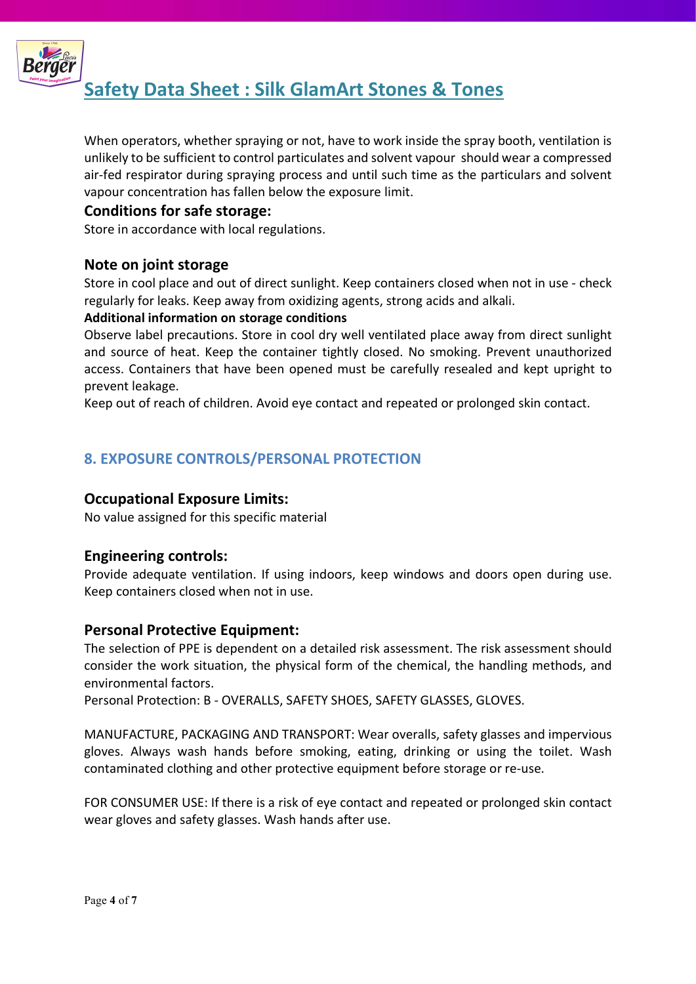

When operators, whether spraying or not, have to work inside the spray booth, ventilation is unlikely to be sufficient to control particulates and solvent vapour should wear a compressed air-fed respirator during spraying process and until such time as the particulars and solvent vapour concentration has fallen below the exposure limit.

# Conditions for safe storage:

Store in accordance with local regulations.

# Note on joint storage

Store in cool place and out of direct sunlight. Keep containers closed when not in use - check regularly for leaks. Keep away from oxidizing agents, strong acids and alkali.

#### Additional information on storage conditions

Observe label precautions. Store in cool dry well ventilated place away from direct sunlight and source of heat. Keep the container tightly closed. No smoking. Prevent unauthorized access. Containers that have been opened must be carefully resealed and kept upright to prevent leakage.

Keep out of reach of children. Avoid eye contact and repeated or prolonged skin contact.

# 8. EXPOSURE CONTROLS/PERSONAL PROTECTION

## Occupational Exposure Limits:

No value assigned for this specific material

## Engineering controls:

Provide adequate ventilation. If using indoors, keep windows and doors open during use. Keep containers closed when not in use.

## Personal Protective Equipment:

The selection of PPE is dependent on a detailed risk assessment. The risk assessment should consider the work situation, the physical form of the chemical, the handling methods, and environmental factors.

Personal Protection: B - OVERALLS, SAFETY SHOES, SAFETY GLASSES, GLOVES.

MANUFACTURE, PACKAGING AND TRANSPORT: Wear overalls, safety glasses and impervious gloves. Always wash hands before smoking, eating, drinking or using the toilet. Wash contaminated clothing and other protective equipment before storage or re-use.

FOR CONSUMER USE: If there is a risk of eye contact and repeated or prolonged skin contact wear gloves and safety glasses. Wash hands after use.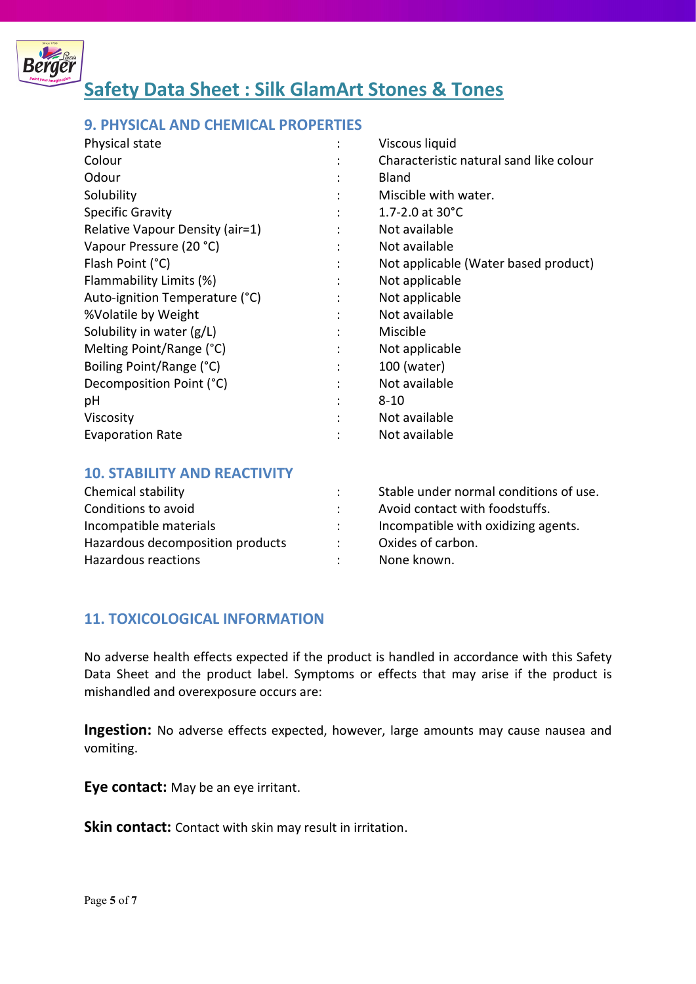

# 9. PHYSICAL AND CHEMICAL PROPERTIES

| Physical state                  |   | Viscous liquid                          |
|---------------------------------|---|-----------------------------------------|
| Colour                          |   | Characteristic natural sand like colour |
| Odour                           |   | Bland                                   |
| Solubility                      | ٠ | Miscible with water.                    |
| <b>Specific Gravity</b>         |   | 1.7-2.0 at $30^{\circ}$ C               |
| Relative Vapour Density (air=1) |   | Not available                           |
| Vapour Pressure (20 °C)         |   | Not available                           |
| Flash Point (°C)                |   | Not applicable (Water based product)    |
| Flammability Limits (%)         |   | Not applicable                          |
| Auto-ignition Temperature (°C)  |   | Not applicable                          |
| %Volatile by Weight             | ٠ | Not available                           |
| Solubility in water (g/L)       |   | Miscible                                |
| Melting Point/Range (°C)        |   | Not applicable                          |
| Boiling Point/Range (°C)        | ÷ | 100 (water)                             |
| Decomposition Point (°C)        | ٠ | Not available                           |
| рH                              |   | $8 - 10$                                |
| Viscosity                       |   | Not available                           |
| <b>Evaporation Rate</b>         |   | Not available                           |

#### 10. STABILITY AND REACTIVITY

| Chemical stability               | Stable under normal conditions of use. |
|----------------------------------|----------------------------------------|
| Conditions to avoid              | Avoid contact with foodstuffs.         |
| Incompatible materials           | Incompatible with oxidizing agents.    |
| Hazardous decomposition products | Oxides of carbon.                      |
| Hazardous reactions              | None known.                            |

## 11. TOXICOLOGICAL INFORMATION

No adverse health effects expected if the product is handled in accordance with this Safety Data Sheet and the product label. Symptoms or effects that may arise if the product is mishandled and overexposure occurs are:

Ingestion: No adverse effects expected, however, large amounts may cause nausea and vomiting.

Eye contact: May be an eye irritant.

Skin contact: Contact with skin may result in irritation.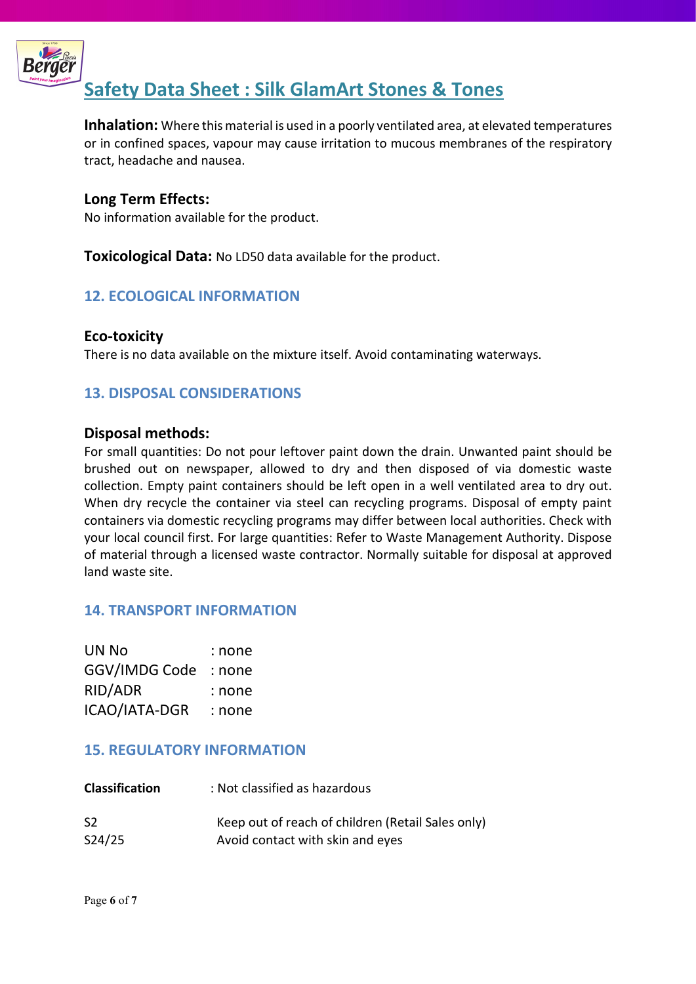

Inhalation: Where this material is used in a poorly ventilated area, at elevated temperatures or in confined spaces, vapour may cause irritation to mucous membranes of the respiratory tract, headache and nausea.

# Long Term Effects:

No information available for the product.

**Toxicological Data:** No LD50 data available for the product.

# 12. ECOLOGICAL INFORMATION

## Eco-toxicity

There is no data available on the mixture itself. Avoid contaminating waterways.

# 13. DISPOSAL CONSIDERATIONS

#### Disposal methods:

For small quantities: Do not pour leftover paint down the drain. Unwanted paint should be brushed out on newspaper, allowed to dry and then disposed of via domestic waste collection. Empty paint containers should be left open in a well ventilated area to dry out. When dry recycle the container via steel can recycling programs. Disposal of empty paint containers via domestic recycling programs may differ between local authorities. Check with your local council first. For large quantities: Refer to Waste Management Authority. Dispose of material through a licensed waste contractor. Normally suitable for disposal at approved land waste site.

## 14. TRANSPORT INFORMATION

| UN No         | : none |
|---------------|--------|
| GGV/IMDG Code | : none |
| RID/ADR       | : none |
| ICAO/IATA-DGR | : none |

## 15. REGULATORY INFORMATION

| <b>Classification</b> | : Not classified as hazardous                     |
|-----------------------|---------------------------------------------------|
| S <sub>2</sub>        | Keep out of reach of children (Retail Sales only) |
| S24/25                | Avoid contact with skin and eyes                  |